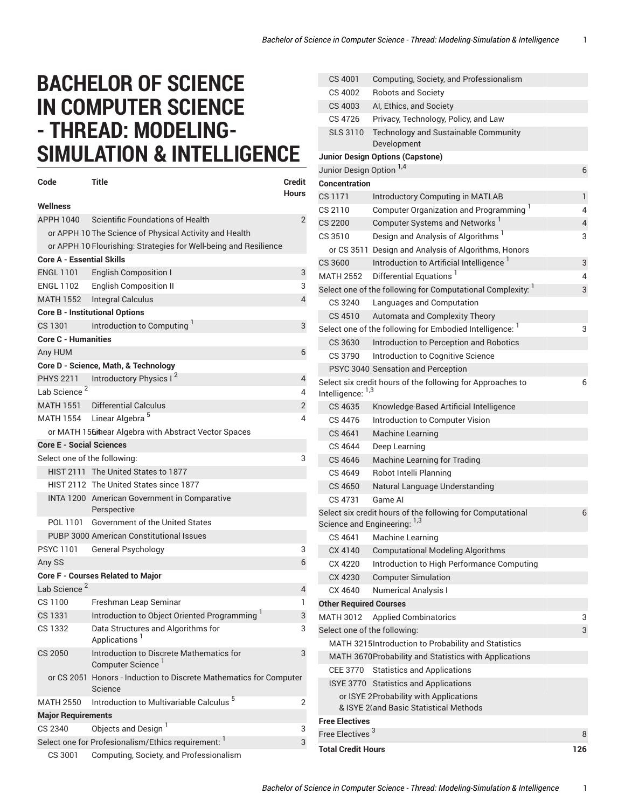## **BACHELOR OF SCIENCE IN COMPUTER SCIENCE - THREAD: MODELING-SIMULATION & INTELLIGENCE**

| Code                                                             | Title                                                                         | <b>Credit</b>  |  |  |
|------------------------------------------------------------------|-------------------------------------------------------------------------------|----------------|--|--|
|                                                                  |                                                                               | <b>Hours</b>   |  |  |
| Wellness                                                         |                                                                               |                |  |  |
| APPH 1040                                                        | Scientific Foundations of Health                                              | $\overline{2}$ |  |  |
|                                                                  | or APPH 10 The Science of Physical Activity and Health                        |                |  |  |
| or APPH 10 Flourishing: Strategies for Well-being and Resilience |                                                                               |                |  |  |
| <b>Core A - Essential Skills</b>                                 |                                                                               |                |  |  |
| <b>ENGL 1101</b>                                                 | English Composition I                                                         | 3              |  |  |
|                                                                  | ENGL 1102 English Composition II                                              | 3              |  |  |
|                                                                  | MATH 1552 Integral Calculus                                                   | $\overline{4}$ |  |  |
| <b>Core B - Institutional Options</b>                            |                                                                               |                |  |  |
| CS 1301                                                          | Introduction to Computing                                                     | 3              |  |  |
| <b>Core C - Humanities</b>                                       |                                                                               |                |  |  |
| Any HUM                                                          |                                                                               | 6              |  |  |
|                                                                  | Core D - Science, Math, & Technology                                          |                |  |  |
|                                                                  | PHYS 2211 Introductory Physics I <sup>2</sup>                                 | 4              |  |  |
| Lab Science <sup>2</sup>                                         |                                                                               | 4              |  |  |
|                                                                  | MATH 1551 Differential Calculus                                               | 2              |  |  |
|                                                                  | MATH 1554 Linear Algebra <sup>5</sup>                                         | 4              |  |  |
|                                                                  | or MATH 1564hear Algebra with Abstract Vector Spaces                          |                |  |  |
| <b>Core E - Social Sciences</b>                                  |                                                                               |                |  |  |
| Select one of the following:<br>3                                |                                                                               |                |  |  |
|                                                                  | HIST 2111 The United States to 1877                                           |                |  |  |
|                                                                  | HIST 2112 The United States since 1877                                        |                |  |  |
|                                                                  | INTA 1200 American Government in Comparative<br>Perspective                   |                |  |  |
| POL 1101                                                         | Government of the United States                                               |                |  |  |
|                                                                  | PUBP 3000 American Constitutional Issues                                      |                |  |  |
| PSYC 1101                                                        | General Psychology                                                            | 3              |  |  |
| Any SS                                                           |                                                                               | 6              |  |  |
|                                                                  | Core F - Courses Related to Major                                             |                |  |  |
| Lab Science <sup>2</sup>                                         |                                                                               | 4              |  |  |
| CS 1100                                                          | Freshman Leap Seminar                                                         | 1              |  |  |
| CS 1331                                                          | Introduction to Object Oriented Programming <sup>1</sup>                      | 3              |  |  |
| CS 1332                                                          | Data Structures and Algorithms for<br>Applications                            | 3              |  |  |
| CS 2050                                                          | Introduction to Discrete Mathematics for<br>Computer Science <sup>1</sup>     | 3              |  |  |
|                                                                  | or CS 2051 Honors - Induction to Discrete Mathematics for Computer<br>Science |                |  |  |
| <b>MATH 2550</b>                                                 | Introduction to Multivariable Calculus <sup>5</sup>                           | 2              |  |  |
| <b>Major Requirements</b>                                        |                                                                               |                |  |  |
| CS 2340                                                          | Objects and Design <sup>1</sup>                                               | 3              |  |  |
|                                                                  | Select one for Profesionalism/Ethics requirement: 1                           | 3              |  |  |
| CS 3001                                                          | Computing, Society, and Professionalism                                       |                |  |  |

| CS 4001                                                | Computing, Society, and Professionalism                                                    |              |  |
|--------------------------------------------------------|--------------------------------------------------------------------------------------------|--------------|--|
| CS 4002                                                | <b>Robots and Society</b>                                                                  |              |  |
| CS 4003                                                | AI, Ethics, and Society                                                                    |              |  |
| CS 4726                                                | Privacy, Technology, Policy, and Law                                                       |              |  |
| <b>SLS 3110</b>                                        | Technology and Sustainable Community<br>Development                                        |              |  |
|                                                        | <b>Junior Design Options (Capstone)</b>                                                    |              |  |
| Junior Design Option <sup>1,4</sup>                    |                                                                                            | 6            |  |
| <b>Concentration</b>                                   |                                                                                            |              |  |
| CS 1171                                                | <b>Introductory Computing in MATLAB</b>                                                    | $\mathbf{1}$ |  |
| CS 2110                                                | Computer Organization and Programming <sup>1</sup>                                         | 4            |  |
| <b>CS 2200</b>                                         | Computer Systems and Networks <sup>1</sup>                                                 | 4            |  |
| CS 3510                                                | Design and Analysis of Algorithms <sup>1</sup>                                             | 3            |  |
|                                                        | or CS 3511 Design and Analysis of Algorithms, Honors                                       |              |  |
| CS 3600                                                | Introduction to Artificial Intelligence                                                    | 3            |  |
| <b>MATH 2552</b>                                       | Differential Equations <sup>1</sup>                                                        | 4            |  |
|                                                        | Select one of the following for Computational Complexity: 1                                | 3            |  |
| CS 3240                                                | Languages and Computation                                                                  |              |  |
| CS 4510                                                | Automata and Complexity Theory                                                             |              |  |
|                                                        | Select one of the following for Embodied Intelligence: 1                                   | 3            |  |
| CS 3630                                                | Introduction to Perception and Robotics                                                    |              |  |
| CS 3790                                                | Introduction to Cognitive Science                                                          |              |  |
|                                                        | PSYC 3040 Sensation and Perception                                                         |              |  |
|                                                        | Select six credit hours of the following for Approaches to                                 | 6            |  |
| Intelligence: 1,3                                      |                                                                                            |              |  |
| CS 4635                                                | Knowledge-Based Artificial Intelligence                                                    |              |  |
| CS 4476                                                | Introduction to Computer Vision                                                            |              |  |
| CS 4641                                                | Machine Learning                                                                           |              |  |
| CS 4644                                                | Deep Learning                                                                              |              |  |
| CS 4646                                                | <b>Machine Learning for Trading</b>                                                        |              |  |
| CS 4649                                                | Robot Intelli Planning                                                                     |              |  |
| CS 4650                                                | Natural Language Understanding                                                             |              |  |
| CS 4731                                                | Game AI                                                                                    |              |  |
|                                                        | Select six credit hours of the following for Computational<br>Science and Engineering: 1,3 | 6            |  |
| CS 4641                                                | Machine Learning                                                                           |              |  |
| CX 4140                                                | <b>Computational Modeling Algorithms</b>                                                   |              |  |
| CX 4220                                                | Introduction to High Performance Computing                                                 |              |  |
| CX 4230                                                | <b>Computer Simulation</b>                                                                 |              |  |
| CX 4640                                                | <b>Numerical Analysis I</b>                                                                |              |  |
| <b>Other Required Courses</b>                          |                                                                                            |              |  |
| <b>MATH 3012</b>                                       | <b>Applied Combinatorics</b>                                                               | 3            |  |
| Select one of the following:                           |                                                                                            | 3            |  |
| MATH 3215Introduction to Probability and Statistics    |                                                                                            |              |  |
| MATH 3670 Probability and Statistics with Applications |                                                                                            |              |  |
| CEE 3770                                               | <b>Statistics and Applications</b>                                                         |              |  |
|                                                        | ISYE 3770 Statistics and Applications                                                      |              |  |
|                                                        | or ISYE 2 Probability with Applications                                                    |              |  |
|                                                        | & ISYE 21and Basic Statistical Methods                                                     |              |  |
| <b>Free Electives</b><br>8                             |                                                                                            |              |  |
| Free Electives <sup>3</sup>                            |                                                                                            |              |  |
| <b>Total Credit Hours</b>                              |                                                                                            |              |  |